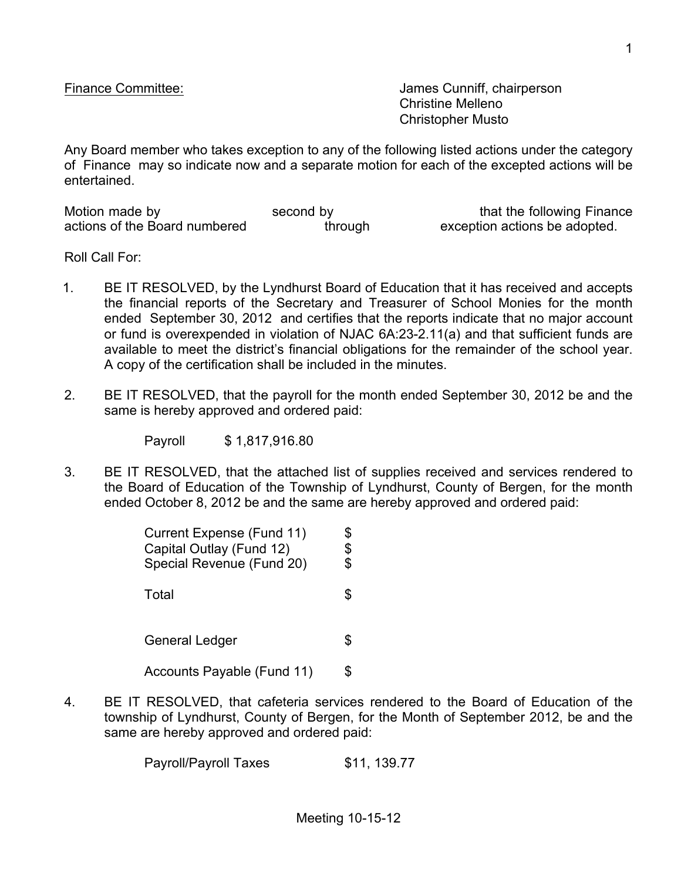Finance Committee: James Cunniff, chairperson Christine Melleno Christopher Musto

Any Board member who takes exception to any of the following listed actions under the category of Finance may so indicate now and a separate motion for each of the excepted actions will be entertained.

| Motion made by                | second by | that the following Finance    |
|-------------------------------|-----------|-------------------------------|
| actions of the Board numbered | through   | exception actions be adopted. |

Roll Call For:

- 1. BE IT RESOLVED, by the Lyndhurst Board of Education that it has received and accepts the financial reports of the Secretary and Treasurer of School Monies for the month ended September 30, 2012 and certifies that the reports indicate that no major account or fund is overexpended in violation of NJAC 6A:23-2.11(a) and that sufficient funds are available to meet the district's financial obligations for the remainder of the school year. A copy of the certification shall be included in the minutes.
- 2. BE IT RESOLVED, that the payroll for the month ended September 30, 2012 be and the same is hereby approved and ordered paid:

Payroll \$ 1,817,916.80

3. BE IT RESOLVED, that the attached list of supplies received and services rendered to the Board of Education of the Township of Lyndhurst, County of Bergen, for the month ended October 8, 2012 be and the same are hereby approved and ordered paid:

| Current Expense (Fund 11)<br>Capital Outlay (Fund 12)<br>Special Revenue (Fund 20) | \$<br>\$<br>\$ |  |
|------------------------------------------------------------------------------------|----------------|--|
| Total                                                                              | \$             |  |
| General Ledger                                                                     | \$             |  |
| <b>Accounts Payable (Fund 11)</b>                                                  | S              |  |

4. BE IT RESOLVED, that cafeteria services rendered to the Board of Education of the township of Lyndhurst, County of Bergen, for the Month of September 2012, be and the same are hereby approved and ordered paid:

Payroll/Payroll Taxes \$11, 139.77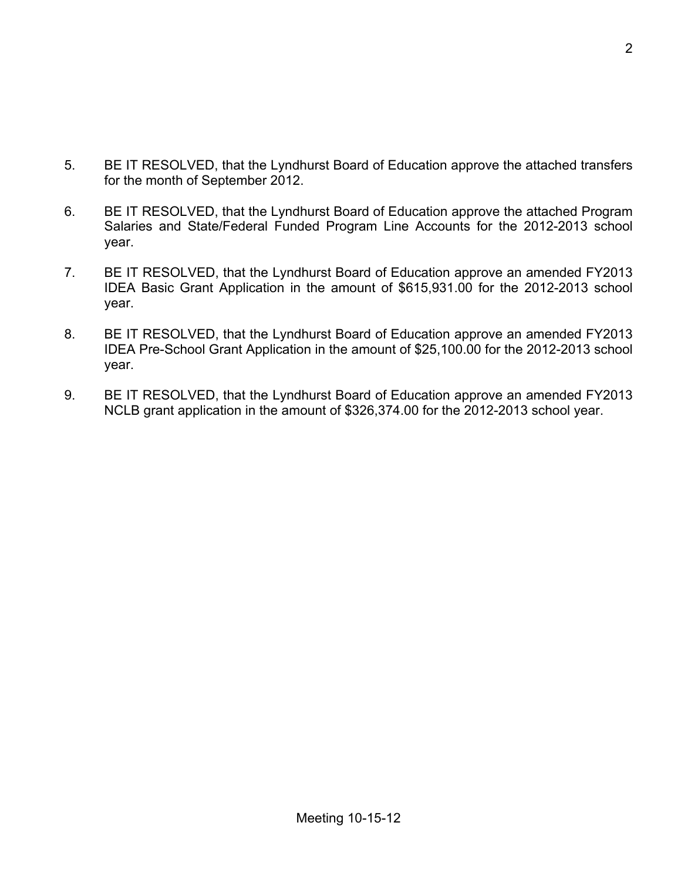- 5. BE IT RESOLVED, that the Lyndhurst Board of Education approve the attached transfers for the month of September 2012.
- 6. BE IT RESOLVED, that the Lyndhurst Board of Education approve the attached Program Salaries and State/Federal Funded Program Line Accounts for the 2012-2013 school year.
- 7. BE IT RESOLVED, that the Lyndhurst Board of Education approve an amended FY2013 IDEA Basic Grant Application in the amount of \$615,931.00 for the 2012-2013 school year.
- 8. BE IT RESOLVED, that the Lyndhurst Board of Education approve an amended FY2013 IDEA Pre-School Grant Application in the amount of \$25,100.00 for the 2012-2013 school year.
- 9. BE IT RESOLVED, that the Lyndhurst Board of Education approve an amended FY2013 NCLB grant application in the amount of \$326,374.00 for the 2012-2013 school year.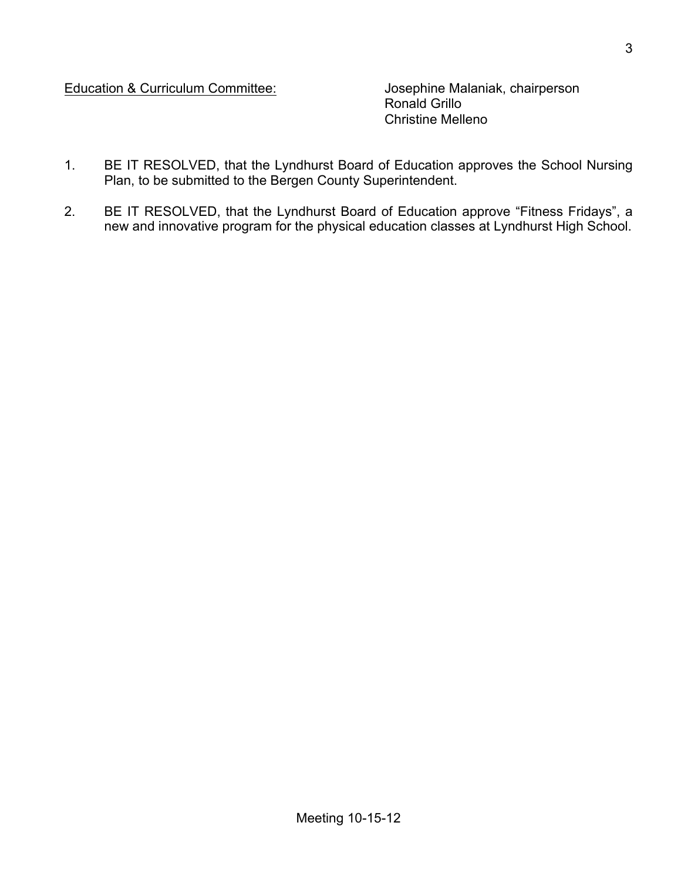Education & Curriculum Committee: Josephine Malaniak, chairperson

Ronald Grillo Christine Melleno

- 1. BE IT RESOLVED, that the Lyndhurst Board of Education approves the School Nursing Plan, to be submitted to the Bergen County Superintendent.
- 2. BE IT RESOLVED, that the Lyndhurst Board of Education approve "Fitness Fridays", a new and innovative program for the physical education classes at Lyndhurst High School.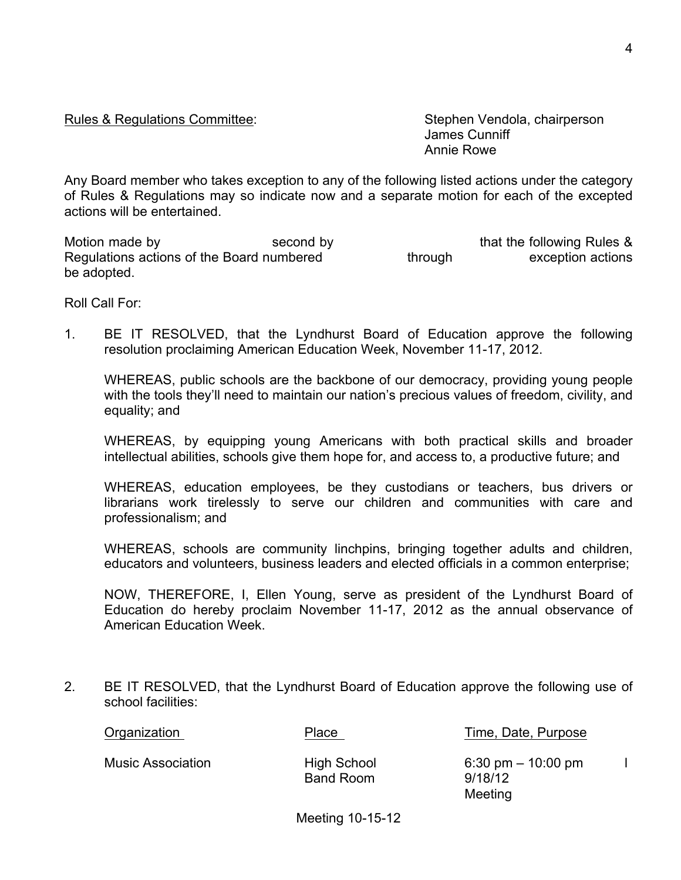## Rules & Regulations Committee: Stephen Vendola, chairperson

James Cunniff Annie Rowe

Any Board member who takes exception to any of the following listed actions under the category of Rules & Regulations may so indicate now and a separate motion for each of the excepted actions will be entertained.

Motion made by **Second by** second by that the following Rules & Regulations actions of the Board numbered through exception actions be adopted.

Roll Call For:

1. BE IT RESOLVED, that the Lyndhurst Board of Education approve the following resolution proclaiming American Education Week, November 11-17, 2012.

WHEREAS, public schools are the backbone of our democracy, providing young people with the tools they'll need to maintain our nation's precious values of freedom, civility, and equality; and

WHEREAS, by equipping young Americans with both practical skills and broader intellectual abilities, schools give them hope for, and access to, a productive future; and

WHEREAS, education employees, be they custodians or teachers, bus drivers or librarians work tirelessly to serve our children and communities with care and professionalism; and

WHEREAS, schools are community linchpins, bringing together adults and children, educators and volunteers, business leaders and elected officials in a common enterprise;

NOW, THEREFORE, I, Ellen Young, serve as president of the Lyndhurst Board of Education do hereby proclaim November 11-17, 2012 as the annual observance of American Education Week.

2. BE IT RESOLVED, that the Lyndhurst Board of Education approve the following use of school facilities:

| Organization             | Place                           | Time, Date, Purpose                                        |  |
|--------------------------|---------------------------------|------------------------------------------------------------|--|
| <b>Music Association</b> | High School<br><b>Band Room</b> | $6:30 \text{ pm} - 10:00 \text{ pm}$<br>9/18/12<br>Meeting |  |

Meeting 10-15-12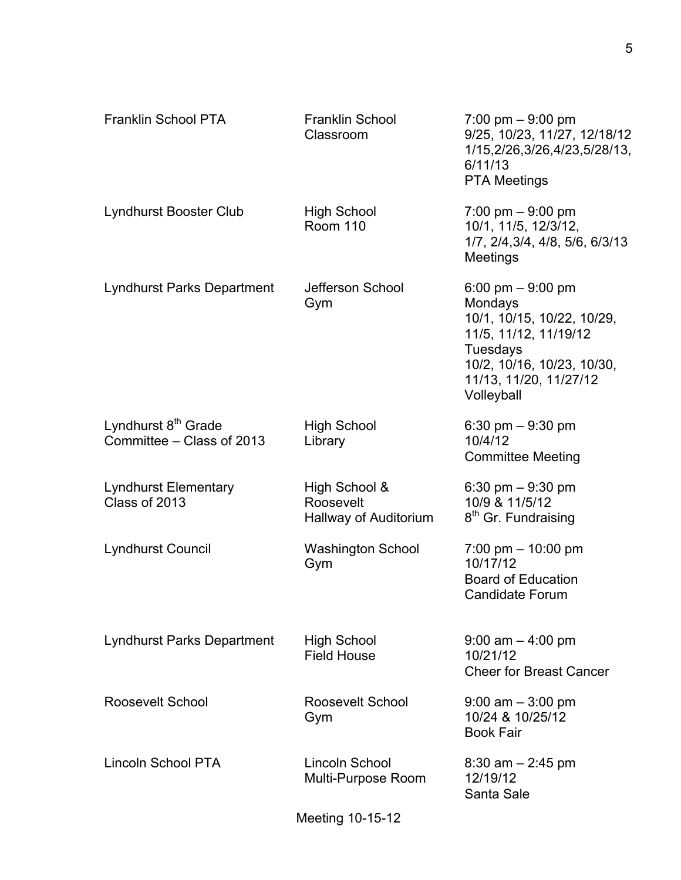| Franklin School PTA                                          | Franklin School<br>Classroom                        | $7:00 \text{ pm} - 9:00 \text{ pm}$<br>9/25, 10/23, 11/27, 12/18/12<br>1/15,2/26,3/26,4/23,5/28/13,<br>6/11/13<br><b>PTA Meetings</b>                                  |
|--------------------------------------------------------------|-----------------------------------------------------|------------------------------------------------------------------------------------------------------------------------------------------------------------------------|
| <b>Lyndhurst Booster Club</b>                                | <b>High School</b><br><b>Room 110</b>               | 7:00 pm $-9:00$ pm<br>10/1, 11/5, 12/3/12,<br>1/7, 2/4, 3/4, 4/8, 5/6, 6/3/13<br>Meetings                                                                              |
| <b>Lyndhurst Parks Department</b>                            | Jefferson School<br>Gym                             | 6:00 pm $-9:00$ pm<br>Mondays<br>10/1, 10/15, 10/22, 10/29,<br>11/5, 11/12, 11/19/12<br>Tuesdays<br>10/2, 10/16, 10/23, 10/30,<br>11/13, 11/20, 11/27/12<br>Volleyball |
| Lyndhurst 8 <sup>th</sup> Grade<br>Committee - Class of 2013 | <b>High School</b><br>Library                       | 6:30 pm $-9:30$ pm<br>10/4/12<br><b>Committee Meeting</b>                                                                                                              |
| <b>Lyndhurst Elementary</b><br>Class of 2013                 | High School &<br>Roosevelt<br>Hallway of Auditorium | 6:30 pm $-9:30$ pm<br>10/9 & 11/5/12<br>8 <sup>th</sup> Gr. Fundraising                                                                                                |
| <b>Lyndhurst Council</b>                                     | <b>Washington School</b><br>Gym                     | 7:00 pm $-$ 10:00 pm<br>10/17/12<br><b>Board of Education</b><br><b>Candidate Forum</b>                                                                                |
| <b>Lyndhurst Parks Department</b>                            | <b>High School</b><br><b>Field House</b>            | $9:00$ am $-4:00$ pm<br>10/21/12<br><b>Cheer for Breast Cancer</b>                                                                                                     |
| Roosevelt School                                             | Roosevelt School<br>Gym                             | $9:00$ am $-3:00$ pm<br>10/24 & 10/25/12<br><b>Book Fair</b>                                                                                                           |
| <b>Lincoln School PTA</b>                                    | Lincoln School<br>Multi-Purpose Room                | $8:30$ am $- 2:45$ pm<br>12/19/12<br>Santa Sale                                                                                                                        |
|                                                              | Meeting 10-15-12                                    |                                                                                                                                                                        |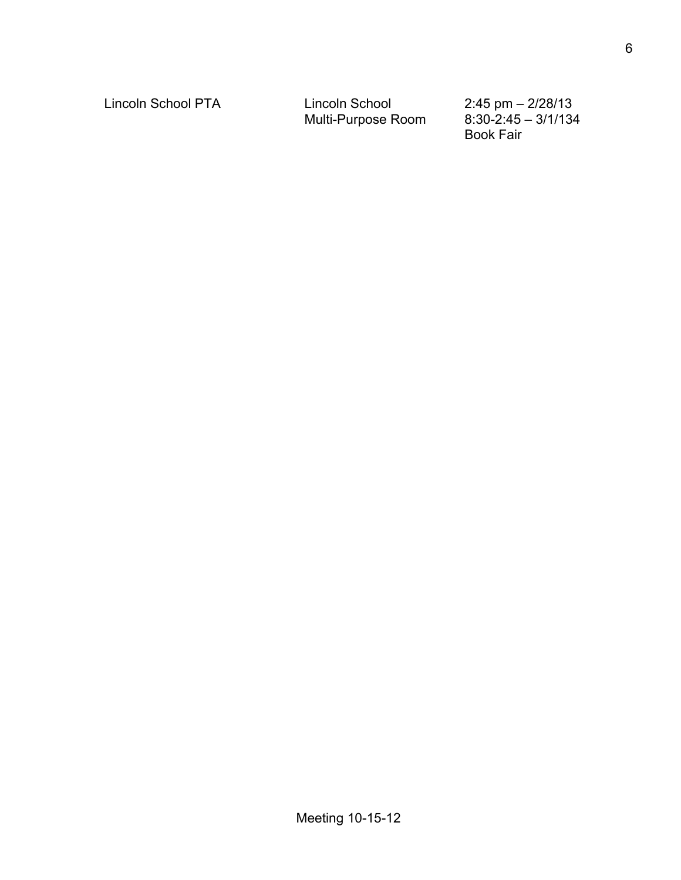Lincoln School PTA Lincoln School 2:45 pm – 2/28/13<br>Multi-Purpose Room 8:30-2:45 – 3/1/134 Multi-Purpose Room

Book Fair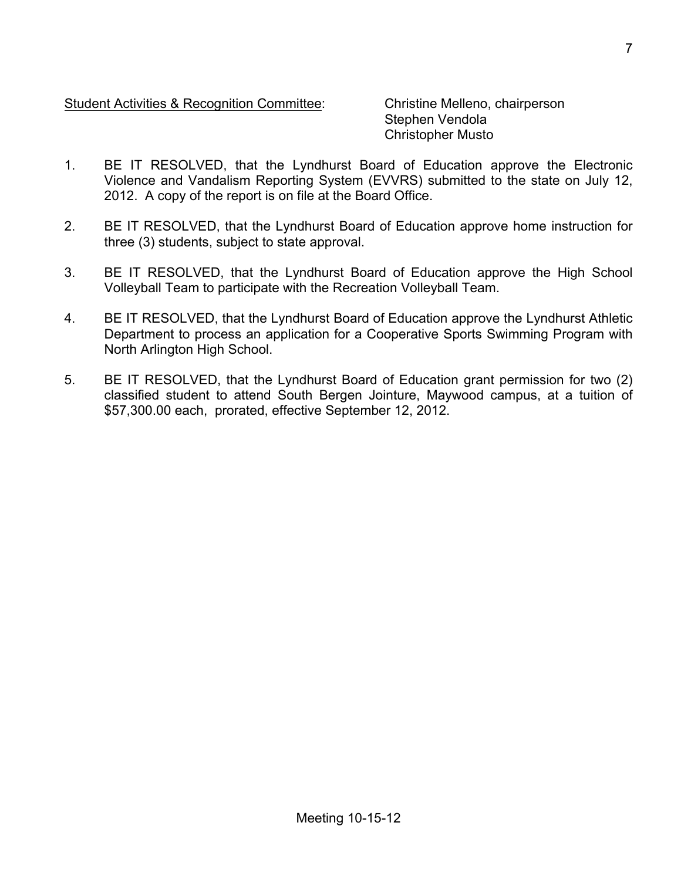## Student Activities & Recognition Committee: Christine Melleno, chairperson

Stephen Vendola Christopher Musto

- 1. BE IT RESOLVED, that the Lyndhurst Board of Education approve the Electronic Violence and Vandalism Reporting System (EVVRS) submitted to the state on July 12, 2012. A copy of the report is on file at the Board Office.
- 2. BE IT RESOLVED, that the Lyndhurst Board of Education approve home instruction for three (3) students, subject to state approval.
- 3. BE IT RESOLVED, that the Lyndhurst Board of Education approve the High School Volleyball Team to participate with the Recreation Volleyball Team.
- 4. BE IT RESOLVED, that the Lyndhurst Board of Education approve the Lyndhurst Athletic Department to process an application for a Cooperative Sports Swimming Program with North Arlington High School.
- 5. BE IT RESOLVED, that the Lyndhurst Board of Education grant permission for two (2) classified student to attend South Bergen Jointure, Maywood campus, at a tuition of \$57,300.00 each, prorated, effective September 12, 2012.